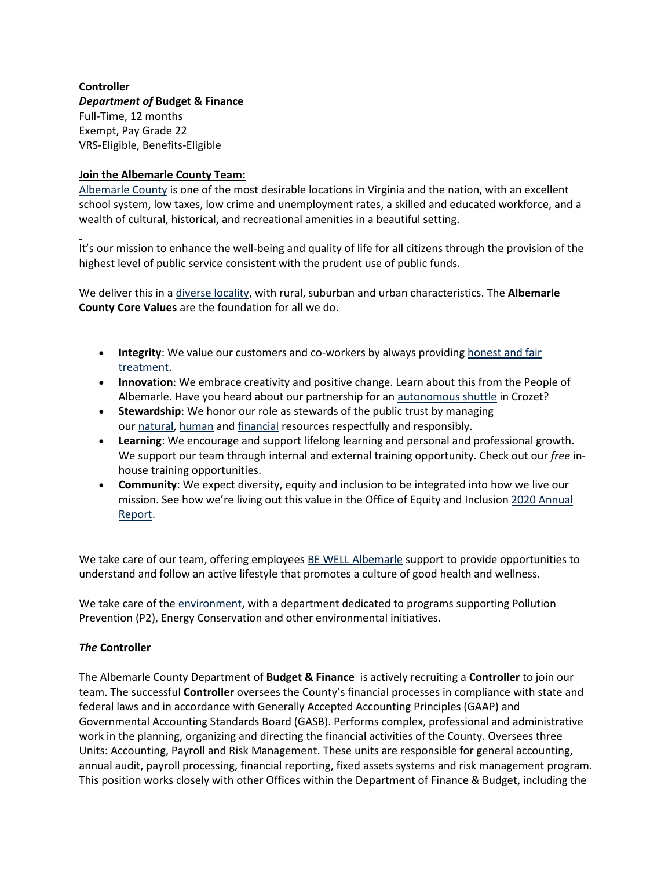### **Controller** *Department of* **Budget & Finance** Full-Time, 12 months Exempt, Pay Grade 22 VRS-Eligible, Benefits-Eligible

### **Join the Albemarle County Team:**

[Albemarle County](https://www.visitcharlottesville.org/) is one of the most desirable locations in Virginia and the nation, with an excellent school system, low taxes, low crime and unemployment rates, a skilled and educated workforce, and a wealth of cultural, historical, and recreational amenities in a beautiful setting.

It's our mission to enhance the well-being and quality of life for all citizens through the provision of the highest level of public service consistent with the prudent use of public funds.

We deliver this in a [diverse locality,](https://www.enablealbemarle.org/about-albemarle/living-here) with rural, suburban and urban characteristics. The **Albemarle County Core Values** are the foundation for all we do.

- **Integrity**: We value our customers and co-workers by always providing [honest and fair](https://www.albemarle.org/home/showpublisheddocument?id=414)  [treatment.](https://www.albemarle.org/home/showpublisheddocument?id=414)
- **Innovation**: We embrace creativity and positive change. Learn about this from the People of Albemarle. Have you heard about our partnership for an [autonomous shuttle](https://www.albemarle.org/home/showpublisheddocument?id=666) in Crozet?
- **Stewardship**: We honor our role as stewards of the public trust by managing our [natural,](https://www.albemarle.org/government/facilities-environmental-services/environmental-stewardship) [human](https://www.albemarle.org/government/human-resources/working-at-albemarle) and [financial](https://www.albemarle.org/government/budget) resources respectfully and responsibly.
- **Learning**: We encourage and support lifelong learning and personal and professional growth. We support our team through internal and external training opportunity. Check out our *free* inhouse training opportunities.
- **Community**: We expect diversity, equity and inclusion to be integrated into how we live our mission. See how we're living out this value in the Office of Equity and Inclusion [2020 Annual](https://albemarle.legistar.com/View.ashx?M=F&ID=9054803&GUID=1E9D81DC-C420-4CAF-B8D1-91825ABFD287)  [Report.](https://albemarle.legistar.com/View.ashx?M=F&ID=9054803&GUID=1E9D81DC-C420-4CAF-B8D1-91825ABFD287)

We take care of our team, offering employees [BE WELL Albemarle](http://bewell.albemarle.org/Pages/default.aspx) support to provide opportunities to understand and follow an active lifestyle that promotes a culture of good health and wellness.

We take care of the [environment,](https://www.albemarle.org/home/showpublisheddocument?id=5432) with a department dedicated to programs supporting Pollution Prevention (P2), Energy Conservation and other environmental initiatives.

### *The* **Controller**

The Albemarle County Department of **Budget & Finance** is actively recruiting a **Controller** to join our team. The successful **Controller** oversees the County's financial processes in compliance with state and federal laws and in accordance with Generally Accepted Accounting Principles (GAAP) and Governmental Accounting Standards Board (GASB). Performs complex, professional and administrative work in the planning, organizing and directing the financial activities of the County. Oversees three Units: Accounting, Payroll and Risk Management. These units are responsible for general accounting, annual audit, payroll processing, financial reporting, fixed assets systems and risk management program. This position works closely with other Offices within the Department of Finance & Budget, including the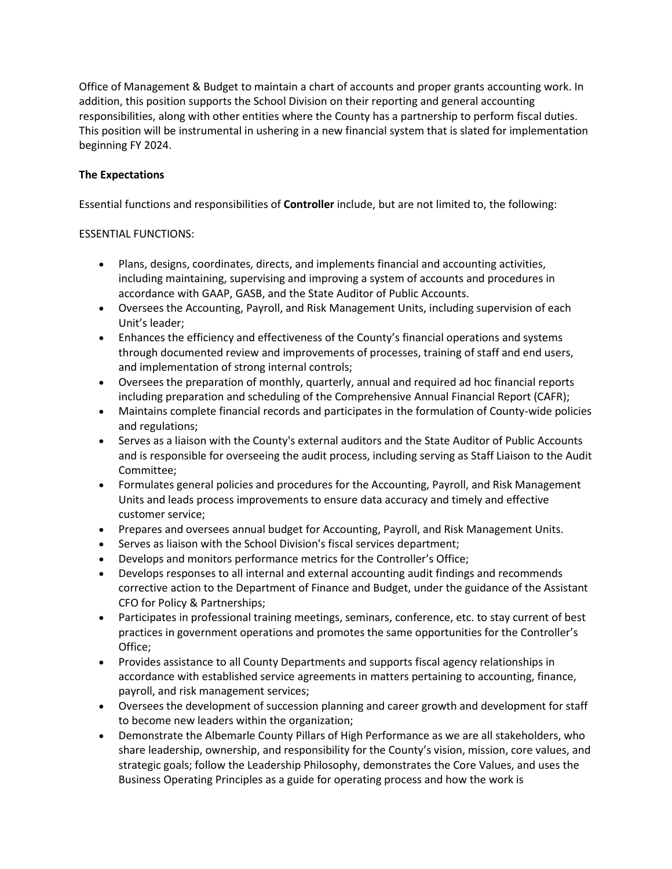Office of Management & Budget to maintain a chart of accounts and proper grants accounting work. In addition, this position supports the School Division on their reporting and general accounting responsibilities, along with other entities where the County has a partnership to perform fiscal duties. This position will be instrumental in ushering in a new financial system that is slated for implementation beginning FY 2024.

# **The Expectations**

Essential functions and responsibilities of **Controller** include, but are not limited to, the following:

## ESSENTIAL FUNCTIONS:

- Plans, designs, coordinates, directs, and implements financial and accounting activities, including maintaining, supervising and improving a system of accounts and procedures in accordance with GAAP, GASB, and the State Auditor of Public Accounts.
- Oversees the Accounting, Payroll, and Risk Management Units, including supervision of each Unit's leader;
- Enhances the efficiency and effectiveness of the County's financial operations and systems through documented review and improvements of processes, training of staff and end users, and implementation of strong internal controls;
- Oversees the preparation of monthly, quarterly, annual and required ad hoc financial reports including preparation and scheduling of the Comprehensive Annual Financial Report (CAFR);
- Maintains complete financial records and participates in the formulation of County-wide policies and regulations;
- Serves as a liaison with the County's external auditors and the State Auditor of Public Accounts and is responsible for overseeing the audit process, including serving as Staff Liaison to the Audit Committee;
- Formulates general policies and procedures for the Accounting, Payroll, and Risk Management Units and leads process improvements to ensure data accuracy and timely and effective customer service;
- Prepares and oversees annual budget for Accounting, Payroll, and Risk Management Units.
- Serves as liaison with the School Division's fiscal services department;
- Develops and monitors performance metrics for the Controller's Office;
- Develops responses to all internal and external accounting audit findings and recommends corrective action to the Department of Finance and Budget, under the guidance of the Assistant CFO for Policy & Partnerships;
- Participates in professional training meetings, seminars, conference, etc. to stay current of best practices in government operations and promotes the same opportunities for the Controller's Office;
- Provides assistance to all County Departments and supports fiscal agency relationships in accordance with established service agreements in matters pertaining to accounting, finance, payroll, and risk management services;
- Oversees the development of succession planning and career growth and development for staff to become new leaders within the organization;
- Demonstrate the Albemarle County Pillars of High Performance as we are all stakeholders, who share leadership, ownership, and responsibility for the County's vision, mission, core values, and strategic goals; follow the Leadership Philosophy, demonstrates the Core Values, and uses the Business Operating Principles as a guide for operating process and how the work is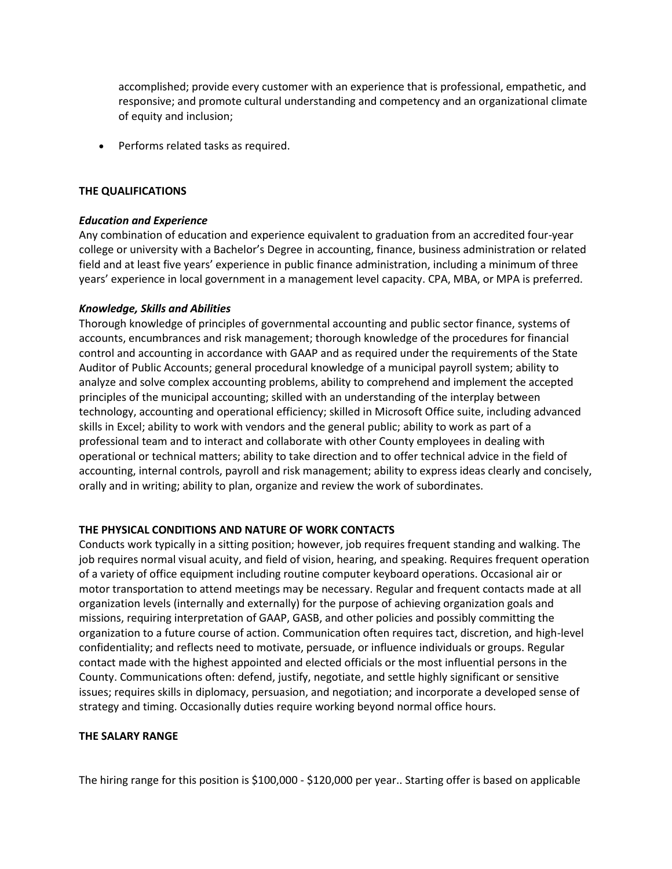accomplished; provide every customer with an experience that is professional, empathetic, and responsive; and promote cultural understanding and competency and an organizational climate of equity and inclusion;

• Performs related tasks as required.

#### **THE QUALIFICATIONS**

### *Education and Experience*

Any combination of education and experience equivalent to graduation from an accredited four-year college or university with a Bachelor's Degree in accounting, finance, business administration or related field and at least five years' experience in public finance administration, including a minimum of three years' experience in local government in a management level capacity. CPA, MBA, or MPA is preferred.

### *Knowledge, Skills and Abilities*

Thorough knowledge of principles of governmental accounting and public sector finance, systems of accounts, encumbrances and risk management; thorough knowledge of the procedures for financial control and accounting in accordance with GAAP and as required under the requirements of the State Auditor of Public Accounts; general procedural knowledge of a municipal payroll system; ability to analyze and solve complex accounting problems, ability to comprehend and implement the accepted principles of the municipal accounting; skilled with an understanding of the interplay between technology, accounting and operational efficiency; skilled in Microsoft Office suite, including advanced skills in Excel; ability to work with vendors and the general public; ability to work as part of a professional team and to interact and collaborate with other County employees in dealing with operational or technical matters; ability to take direction and to offer technical advice in the field of accounting, internal controls, payroll and risk management; ability to express ideas clearly and concisely, orally and in writing; ability to plan, organize and review the work of subordinates.

### **THE PHYSICAL CONDITIONS AND NATURE OF WORK CONTACTS**

Conducts work typically in a sitting position; however, job requires frequent standing and walking. The job requires normal visual acuity, and field of vision, hearing, and speaking. Requires frequent operation of a variety of office equipment including routine computer keyboard operations. Occasional air or motor transportation to attend meetings may be necessary. Regular and frequent contacts made at all organization levels (internally and externally) for the purpose of achieving organization goals and missions, requiring interpretation of GAAP, GASB, and other policies and possibly committing the organization to a future course of action. Communication often requires tact, discretion, and high-level confidentiality; and reflects need to motivate, persuade, or influence individuals or groups. Regular contact made with the highest appointed and elected officials or the most influential persons in the County. Communications often: defend, justify, negotiate, and settle highly significant or sensitive issues; requires skills in diplomacy, persuasion, and negotiation; and incorporate a developed sense of strategy and timing. Occasionally duties require working beyond normal office hours.

#### **THE SALARY RANGE**

The hiring range for this position is \$100,000 - \$120,000 per year.. Starting offer is based on applicable